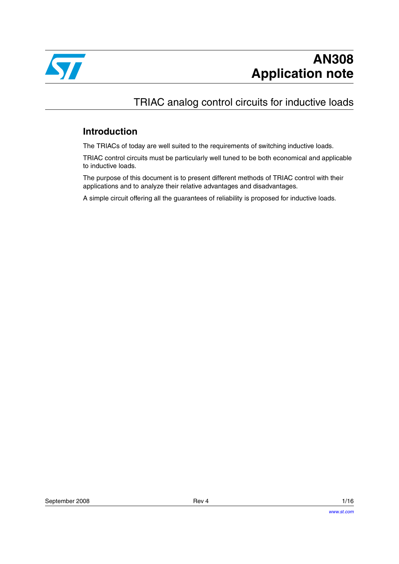

# TRIAC analog control circuits for inductive loads

# **Introduction**

The TRIACs of today are well suited to the requirements of switching inductive loads.

TRIAC control circuits must be particularly well tuned to be both economical and applicable to inductive loads.

The purpose of this document is to present different methods of TRIAC control with their applications and to analyze their relative advantages and disadvantages.

A simple circuit offering all the guarantees of reliability is proposed for inductive loads.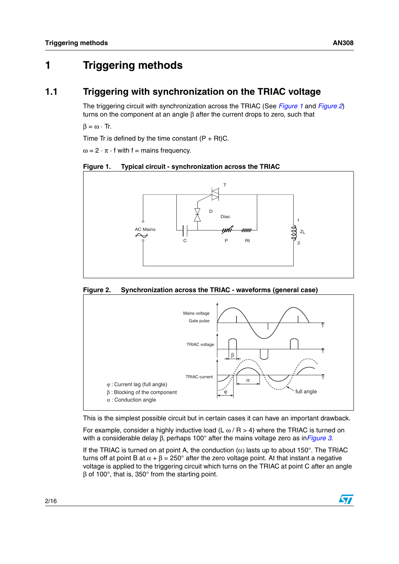# **1 Triggering methods**

## **1.1 Triggering with synchronization on the TRIAC voltage**

The triggering circuit with synchronization across the TRIAC (See *[Figure 1](#page-1-0)* and *[Figure 2](#page-1-1)*) turns on the component at an angle β after the current drops to zero, such that

 $\beta = \omega \cdot \text{Tr}$ .

Time Tr is defined by the time constant  $(P + Rt)C$ .

 $\omega = 2 \cdot \pi \cdot f$  with  $f =$  mains frequency.

<span id="page-1-0"></span>



#### <span id="page-1-1"></span>**Figure 2. Synchronization across the TRIAC - waveforms (general case)**



This is the simplest possible circuit but in certain cases it can have an important drawback.

For example, consider a highly inductive load (L  $\omega$  / R > 4) where the TRIAC is turned on with a considerable delay β, perhaps 100° after the mains voltage zero as in*[Figure 3](#page-2-0)*.

If the TRIAC is turned on at point A, the conduction  $(\alpha)$  lasts up to about 150°. The TRIAC turns off at point B at  $\alpha + \beta = 250^{\circ}$  after the zero voltage point. At that instant a negative voltage is applied to the triggering circuit which turns on the TRIAC at point C after an angle β of 100°, that is, 350° from the starting point.

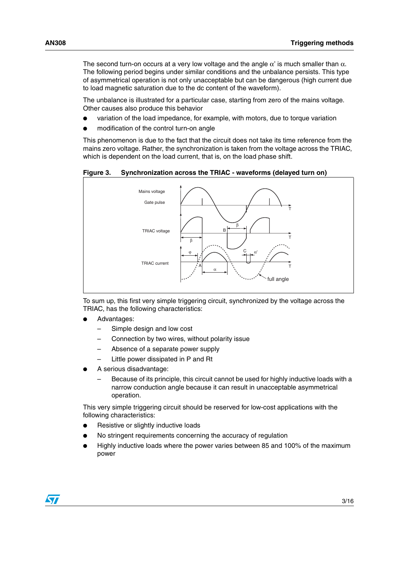The second turn-on occurs at a very low voltage and the angle  $\alpha'$  is much smaller than  $\alpha$ . The following period begins under similar conditions and the unbalance persists. This type of asymmetrical operation is not only unacceptable but can be dangerous (high current due to load magnetic saturation due to the dc content of the waveform).

The unbalance is illustrated for a particular case, starting from zero of the mains voltage. Other causes also produce this behavior

- variation of the load impedance, for example, with motors, due to torque variation
- modification of the control turn-on angle

This phenomenon is due to the fact that the circuit does not take its time reference from the mains zero voltage. Rather, the synchronization is taken from the voltage across the TRIAC, which is dependent on the load current, that is, on the load phase shift.

<span id="page-2-0"></span>**Figure 3. Synchronization across the TRIAC - waveforms (delayed turn on)**



To sum up, this first very simple triggering circuit, synchronized by the voltage across the TRIAC, has the following characteristics:

- Advantages:
	- Simple design and low cost
	- Connection by two wires, without polarity issue
	- Absence of a separate power supply
	- Little power dissipated in P and Rt
- A serious disadvantage:
	- Because of its principle, this circuit cannot be used for highly inductive loads with a narrow conduction angle because it can result in unacceptable asymmetrical operation.

This very simple triggering circuit should be reserved for low-cost applications with the following characteristics:

- Resistive or slightly inductive loads
- No stringent requirements concerning the accuracy of regulation
- Highly inductive loads where the power varies between 85 and 100% of the maximum power

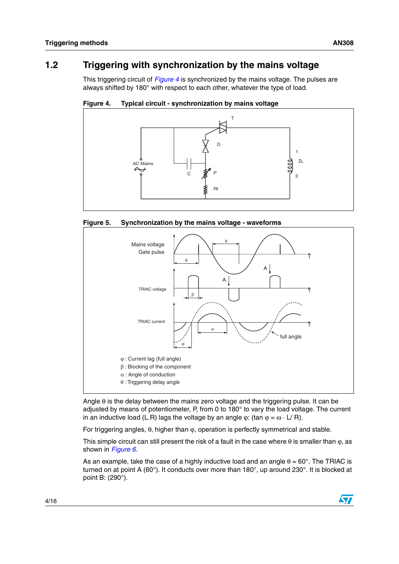# **1.2 Triggering with synchronization by the mains voltage**

This triggering circuit of *[Figure 4](#page-3-0)* is synchronized by the mains voltage. The pulses are always shifted by 180° with respect to each other, whatever the type of load.

<span id="page-3-0"></span>







Angle  $\theta$  is the delay between the mains zero voltage and the triggering pulse. It can be adjusted by means of potentiometer, P, from 0 to 180° to vary the load voltage. The current in an inductive load (L.R) lags the voltage by an angle  $\varphi$ : (tan  $\varphi = \omega \cdot L/R$ ).

For triggering angles,  $θ$ , higher than  $φ$ , operation is perfectly symmetrical and stable.

This simple circuit can still present the risk of a fault in the case where  $\theta$  is smaller than  $\varphi$ , as shown in *[Figure 6](#page-4-0)*.

As an example, take the case of a highly inductive load and an angle  $\theta = 60^\circ$ . The TRIAC is turned on at point A (60°). It conducts over more than 180°, up around 230°. It is blocked at point B: (290°).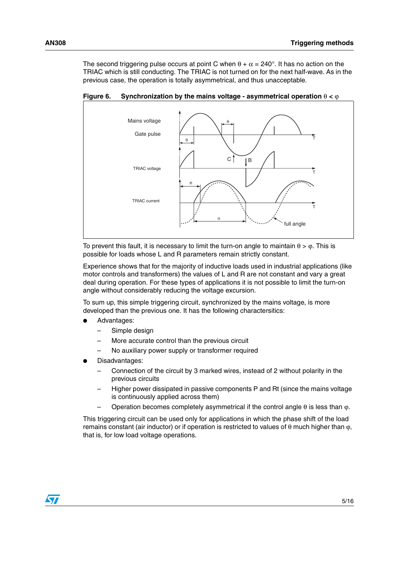The second triggering pulse occurs at point C when  $\theta + \alpha = 240^{\circ}$ . It has no action on the TRIAC which is still conducting. The TRIAC is not turned on for the next half-wave. As in the previous case, the operation is totally asymmetrical, and thus unacceptable.

full angle Mains voltage Gate pulse B ϕ T T T α θ  $\overline{C}$ θ TRIAC voltage TRIAC current

<span id="page-4-0"></span>**Figure 6.** Synchronization by the mains voltage - asymmetrical operation  $θ < φ$ 

To prevent this fault, it is necessary to limit the turn-on angle to maintain  $\theta > \varphi$ . This is possible for loads whose L and R parameters remain strictly constant.

Experience shows that for the majority of inductive loads used in industrial applications (like motor controls and transformers) the values of L and R are not constant and vary a great deal during operation. For these types of applications it is not possible to limit the turn-on angle without considerably reducing the voltage excursion.

To sum up, this simple triggering circuit, synchronized by the mains voltage, is more developed than the previous one. It has the following charactersitics:

- Advantages:
	- Simple design
	- More accurate control than the previous circuit
	- No auxiliary power supply or transformer required
- Disadvantages:
	- Connection of the circuit by 3 marked wires, instead of 2 without polarity in the previous circuits
	- Higher power dissipated in passive components P and Rt (since the mains voltage is continuously applied across them)
	- Operation becomes completely asymmetrical if the control angle θ is less than ϕ.

This triggering circuit can be used only for applications in which the phase shift of the load remains constant (air inductor) or if operation is restricted to values of θ much higher than ϕ, that is, for low load voltage operations.

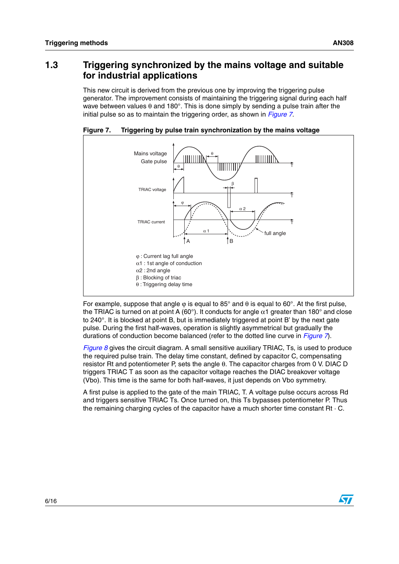### <span id="page-5-1"></span>**1.3 Triggering synchronized by the mains voltage and suitable for industrial applications**

This new circuit is derived from the previous one by improving the triggering pulse generator. The improvement consists of maintaining the triggering signal during each half wave between values  $\theta$  and 180°. This is done simply by sending a pulse train after the initial pulse so as to maintain the triggering order, as shown in *[Figure 7](#page-5-0)*.



<span id="page-5-0"></span>**Figure 7. Triggering by pulse train synchronization by the mains voltage**

For example, suppose that angle  $\varphi$  is equal to 85° and  $\theta$  is equal to 60°. At the first pulse, the TRIAC is turned on at point A (60°). It conducts for angle  $\alpha$ 1 greater than 180° and close to 240°. It is blocked at point B, but is immediately triggered at point B' by the next gate pulse. During the first half-waves, operation is slightly asymmetrical but gradually the durations of conduction become balanced (refer to the dotted line curve in *[Figure 7](#page-5-0)*).

*[Figure 8](#page-6-0)* gives the circuit diagram. A small sensitive auxiliary TRIAC, Ts, is used to produce the required pulse train. The delay time constant, defined by capacitor C, compensating resistor Rt and potentiometer P, sets the angle θ. The capacitor charges from 0 V. DIAC D triggers TRIAC T as soon as the capacitor voltage reaches the DIAC breakover voltage (Vbo). This time is the same for both half-waves, it just depends on Vbo symmetry.

A first pulse is applied to the gate of the main TRIAC, T. A voltage pulse occurs across Rd and triggers sensitive TRIAC Ts. Once turned on, this Ts bypasses potentiometer P. Thus the remaining charging cycles of the capacitor have a much shorter time constant Rt · C.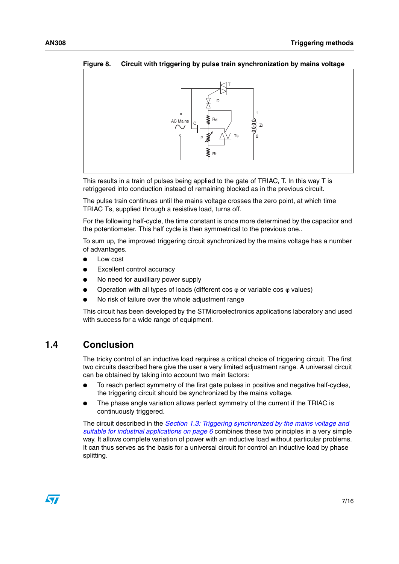

<span id="page-6-0"></span>**Figure 8. Circuit with triggering by pulse train synchronization by mains voltage**

This results in a train of pulses being applied to the gate of TRIAC, T. In this way T is retriggered into conduction instead of remaining blocked as in the previous circuit.

The pulse train continues until the mains voltage crosses the zero point, at which time TRIAC Ts, supplied through a resistive load, turns off.

For the following half-cycle, the time constant is once more determined by the capacitor and the potentiometer. This half cycle is then symmetrical to the previous one..

To sum up, the improved triggering circuit synchronized by the mains voltage has a number of advantages.

- Low cost
- **Excellent control accuracy**
- No need for auxilliary power supply
- Operation with all types of loads (different cos  $\varphi$  or variable cos  $\varphi$  values)
- No risk of failure over the whole adjustment range

This circuit has been developed by the STMicroelectronics applications laboratory and used with success for a wide range of equipment.

### **1.4 Conclusion**

The tricky control of an inductive load requires a critical choice of triggering circuit. The first two circuits described here give the user a very limited adjustment range. A universal circuit can be obtained by taking into account two main factors:

- To reach perfect symmetry of the first gate pulses in positive and negative half-cycles, the triggering circuit should be synchronized by the mains voltage.
- The phase angle variation allows perfect symmetry of the current if the TRIAC is continuously triggered.

The circuit described in the *[Section 1.3: Triggering synchronized by the mains voltage and](#page-5-1)  [suitable for industrial applications on page 6](#page-5-1)* combines these two principles in a very simple way. It allows complete variation of power with an inductive load without particular problems. It can thus serves as the basis for a universal circuit for control an inductive load by phase splitting.

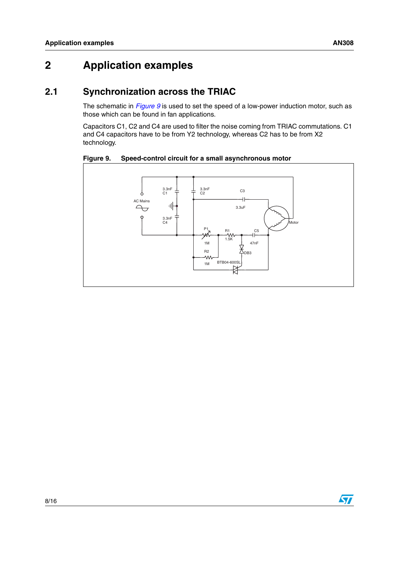# **2 Application examples**

# **2.1 Synchronization across the TRIAC**

The schematic in *[Figure 9](#page-7-0)* is used to set the speed of a low-power induction motor, such as those which can be found in fan applications.

Capacitors C1, C2 and C4 are used to filter the noise coming from TRIAC commutations. C1 and C4 capacitors have to be from Y2 technology, whereas C2 has to be from X2 technology.

<span id="page-7-0"></span>**Figure 9. Speed-control circuit for a small asynchronous motor**

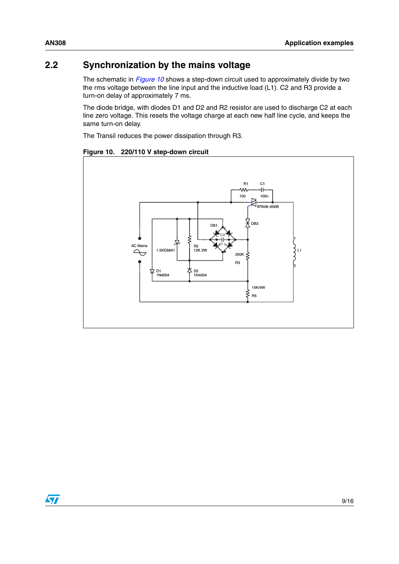# **2.2 Synchronization by the mains voltage**

The schematic in *[Figure 10](#page-8-0)* shows a step-down circuit used to approximately divide by two the rms voltage between the line input and the inductive load (L1). C2 and R3 provide a turn-on delay of approximately 7 ms.

The diode bridge, with diodes D1 and D2 and R2 resistor are used to discharge C2 at each line zero voltage. This resets the voltage charge at each new half line cycle, and keeps the same turn-on delay.

The Transil reduces the power dissipation through R3.



#### <span id="page-8-0"></span>**Figure 10. 220/110 V step-down circuit**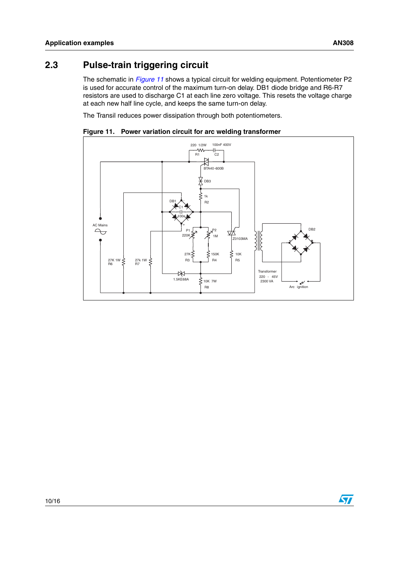$\sqrt{2}$ 

# **2.3 Pulse-train triggering circuit**

The schematic in *[Figure 11](#page-9-0)* shows a typical circuit for welding equipment. Potentiometer P2 is used for accurate control of the maximum turn-on delay. DB1 diode bridge and R6-R7 resistors are used to discharge C1 at each line zero voltage. This resets the voltage charge at each new half line cycle, and keeps the same turn-on delay.

The Transil reduces power dissipation through both potentiometers.



<span id="page-9-0"></span>**Figure 11. Power variation circuit for arc welding transformer**

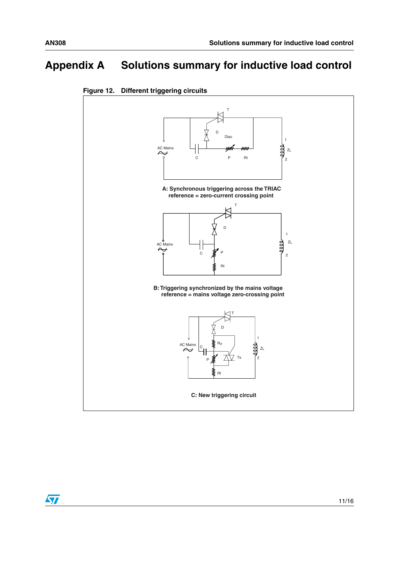# **Appendix A Solutions summary for inductive load control**



<span id="page-10-0"></span>

 $\sqrt{}$ 

11/16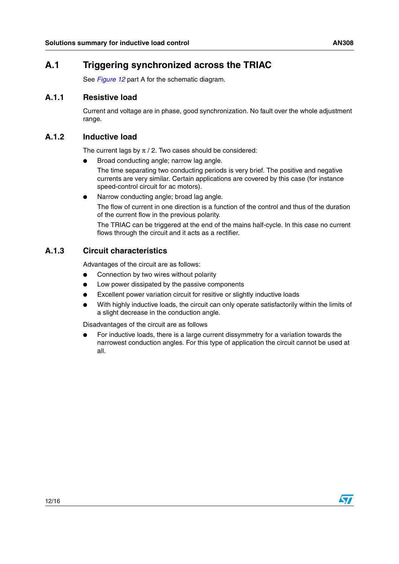### **A.1 Triggering synchronized across the TRIAC**

See *[Figure 12](#page-10-0)* part A for the schematic diagram.

#### **A.1.1 Resistive load**

Current and voltage are in phase, good synchronization. No fault over the whole adjustment range.

#### **A.1.2 Inductive load**

The current lags by  $\pi$  / 2. Two cases should be considered:

- Broad conducting angle; narrow lag angle. The time separating two conducting periods is very brief. The positive and negative currents are very similar. Certain applications are covered by this case (for instance speed-control circuit for ac motors).
- Narrow conducting angle; broad lag angle. The flow of current in one direction is a function of the control and thus of the duration of the current flow in the previous polarity.

The TRIAC can be triggered at the end of the mains half-cycle. In this case no current flows through the circuit and it acts as a rectifier.

#### **A.1.3 Circuit characteristics**

Advantages of the circuit are as follows:

- Connection by two wires without polarity
- Low power dissipated by the passive components
- Excellent power variation circuit for resitive or slightly inductive loads
- With highly inductive loads, the circuit can only operate satisfactorily within the limits of a slight decrease in the conduction angle.

Disadvantages of the circuit are as follows

For inductive loads, there is a large current dissymmetry for a variation towards the narrowest conduction angles. For this type of application the circuit cannot be used at all.

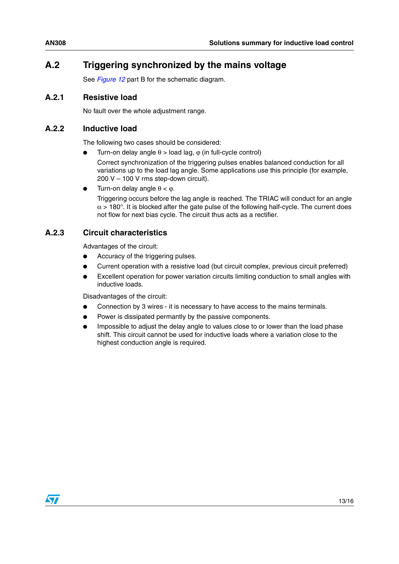# **A.2 Triggering synchronized by the mains voltage**

See *[Figure 12](#page-10-0)* part B for the schematic diagram.

#### **A.2.1 Resistive load**

No fault over the whole adjustment range.

#### **A.2.2 Inductive load**

The following two cases should be considered:

- Turn-on delay angle  $θ$  > load lag,  $φ$  (in full-cycle control)
	- Correct synchronization of the triggering pulses enables balanced conduction for all variations up to the load lag angle. Some applications use this principle (for example, 200 V – 100 V rms step-down circuit).
- Turn-on delay angle  $\theta < \omega$ .

Triggering occurs before the lag angle is reached. The TRIAC will conduct for an angle  $\alpha$  > 180°. It is blocked after the gate pulse of the following half-cycle. The current does not flow for next bias cycle. The circuit thus acts as a rectifier.

#### **A.2.3 Circuit characteristics**

Advantages of the circuit:

- Accuracy of the triggering pulses.
- Current operation with a resistive load (but circuit complex, previous circuit preferred)
- Excellent operation for power variation circuits limiting conduction to small angles with inductive loads.

Disadvantages of the circuit:

- Connection by 3 wires it is necessary to have access to the mains terminals.
- Power is dissipated permantly by the passive components.
- Impossible to adjust the delay angle to values close to or lower than the load phase shift. This circuit cannot be used for inductive loads where a variation close to the highest conduction angle is required.

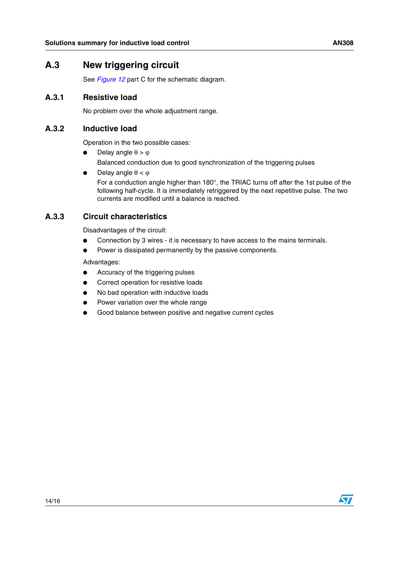### **A.3 New triggering circuit**

See *[Figure 12](#page-10-0)* part C for the schematic diagram.

#### **A.3.1 Resistive load**

No problem over the whole adjustment range.

#### **A.3.2 Inductive load**

Operation in the two possible cases:

- Delay angle  $\theta > \varphi$ Balanced conduction due to good synchronization of the triggering pulses
- Delay angle  $θ < φ$

For a conduction angle higher than 180°, the TRIAC turns off after the 1st pulse of the following half-cycle. It is immediately retriggered by the next repetitive pulse. The two currents are modified until a balance is reached.

### **A.3.3 Circuit characteristics**

Disadvantages of the circuit:

- Connection by 3 wires it is necessary to have access to the mains terminals.
- Power is dissipated permanently by the passive components.

Advantages:

- Accuracy of the triggering pulses
- Correct operation for resistive loads
- No bad operation with inductive loads
- Power variation over the whole range
- Good balance between positive and negative current cycles

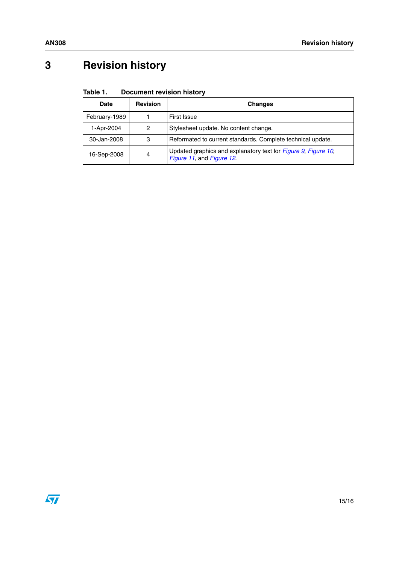# **3 Revision history**

#### Table 1. **Document revision history**

| <b>Date</b>   | <b>Revision</b> | <b>Changes</b>                                                                              |
|---------------|-----------------|---------------------------------------------------------------------------------------------|
| February-1989 |                 | First Issue                                                                                 |
| 1-Apr-2004    | 2               | Stylesheet update. No content change.                                                       |
| 30-Jan-2008   | 3               | Reformated to current standards. Complete technical update.                                 |
| 16-Sep-2008   | 4               | Updated graphics and explanatory text for Figure 9, Figure 10,<br>Figure 11, and Figure 12. |